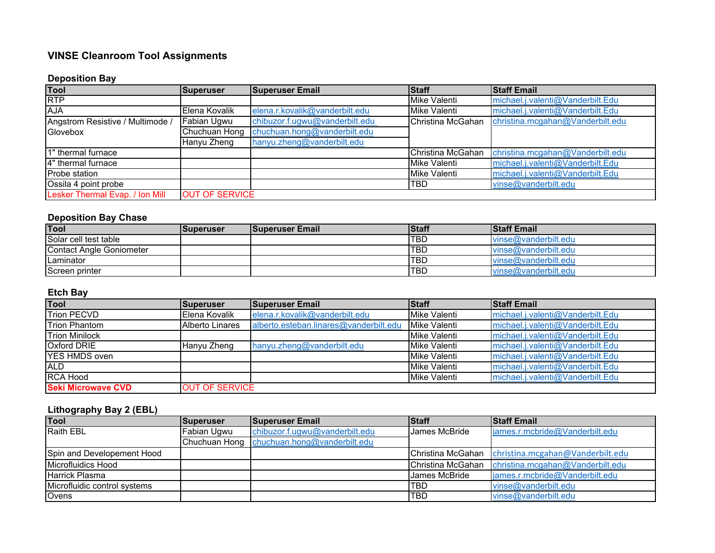# **VINSE Cleanroom Tool Assignments**

### **Deposition Bay**

| <b>Tool</b>                      | <b>Superuser</b>      | <b>Superuser Email</b>         | <b>Staff</b>        | <b>Staff Email</b>               |
|----------------------------------|-----------------------|--------------------------------|---------------------|----------------------------------|
| <b>RTP</b>                       |                       |                                | <b>Mike Valenti</b> | michael.j.valenti@Vanderbilt.Edu |
| <b>AJA</b>                       | Elena Kovalik         | elena.r.kovalik@vanderbilt.edu | Mike Valenti        | michael.j.valenti@Vanderbilt.Edu |
| Angstrom Resistive / Multimode / | Fabian Ugwu           | chibuzor.f.ugwu@vanderbilt.edu | Christina McGahan   | christina.mcgahan@Vanderbilt.edu |
| Glovebox                         | Chuchuan Hong         | chuchuan.hong@vanderbilt.edu   |                     |                                  |
|                                  | Hanyu Zheng           | hanyu.zheng@vanderbilt.edu     |                     |                                  |
| 1" thermal furnace               |                       |                                | Christina McGahan   | christina.mcgahan@Vanderbilt.edu |
| 4" thermal furnace               |                       |                                | Mike Valenti        | michael.j.valenti@Vanderbilt.Edu |
| <b>Probe station</b>             |                       |                                | Mike Valenti        | michael.j.valenti@Vanderbilt.Edu |
| Ossila 4 point probe             |                       |                                | TBD                 | vinse@vanderbilt.edu             |
| Lesker Thermal Evap. / Ion Mill  | <b>OUT OF SERVICE</b> |                                |                     |                                  |

## **Deposition Bay Chase**

| <b>Tool</b>                     | lSuperuser | <b>ISuperuser Email</b> | <b>Staff</b> | <b>Staff Email</b>      |
|---------------------------------|------------|-------------------------|--------------|-------------------------|
| Solar cell test table           |            |                         | 'TBD         | $v$ inse@vanderbilt.edu |
| <b>Contact Angle Goniometer</b> |            |                         | 'TBD         | lvinse@vanderbilt.edu   |
| <b>ILaminator</b>               |            |                         | 'TBD         | $v$ inse@vanderbilt.edu |
| Screen printer                  |            |                         | <b>TBD</b>   | vinse@vanderbilt.edu    |

# **Etch Bay**

| <b>Tool</b>               | Superuser             | <b>Superuser Email</b>                 | <b>Staff</b> | <b>Staff Email</b>               |
|---------------------------|-----------------------|----------------------------------------|--------------|----------------------------------|
| <b>Trion PECVD</b>        | Elena Kovalik         | elena.r.kovalik@vanderbilt.edu         | Mike Valenti | michael.j.valenti@Vanderbilt.Edu |
| <b>Trion Phantom</b>      | Alberto Linares       | alberto.esteban.linares@vanderbilt.edu | Mike Valenti | michael.j.valenti@Vanderbilt.Edu |
| <b>Trion Minilock</b>     |                       |                                        | Mike Valenti | michael.j.valenti@Vanderbilt.Edu |
| <b>Oxford DRIE</b>        | Hanyu Zheng           | hanyu.zheng@vanderbilt.edu             | Mike Valenti | michael.j.valenti@Vanderbilt.Edu |
| <b>YES HMDS oven</b>      |                       |                                        | Mike Valenti | michael.j.valenti@Vanderbilt.Edu |
| <b>ALD</b>                |                       |                                        | Mike Valenti | michael.j.valenti@Vanderbilt.Edu |
| <b>RCA Hood</b>           |                       |                                        | Mike Valenti | michael.j.valenti@Vanderbilt.Edu |
| <b>Seki Microwave CVD</b> | <b>OUT OF SERVICE</b> |                                        |              |                                  |

### **Lithography Bay 2 (EBL)**

| <b>Tool</b>                  | Superuser   | Superuser Email                            | Staff                | <b>Staff Email</b>                                 |
|------------------------------|-------------|--------------------------------------------|----------------------|----------------------------------------------------|
| Raith EBL                    | Fabian Ugwu | chibuzor.f.ugwu@vanderbilt.edu             | <b>James McBride</b> | james.r.mcbride@Vanderbilt.edu                     |
|                              |             | Chuchuan Hong chuchuan.hong@vanderbilt.edu |                      |                                                    |
| Spin and Developement Hood   |             |                                            |                      | Christina McGahan christina.mcgahan@Vanderbilt.edu |
| Microfluidics Hood           |             |                                            | Christina McGahan    | christina.mcgahan@Vanderbilt.edu                   |
| <b>Harrick Plasma</b>        |             |                                            | James McBride        | james.r.mcbride@Vanderbilt.edu                     |
| Microfluidic control systems |             |                                            | TBD                  | vinse@vanderbilt.edu                               |
| Ovens                        |             |                                            | TBD                  | vinse@vanderbilt.edu                               |